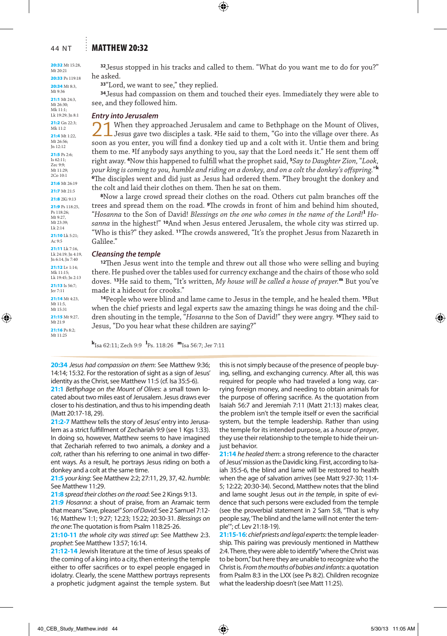#### 44 NT : MATTHEW 20:32

## 20:32 Mt 15:28,

Mt 20:21 20:33 Ps 119:18

20:34 Mt 8:3, Mt 9:36

21:1 Mt 24:3, Mt 26:30;

Mk 11:1; Lk 19:29; Jn 8:1

21:2 Gn 22:3; Mk 11:2

21:4 Mt 1:22 Mt 26:56; Jn 12:12

21:5 Ps 2:6; Is 62:11; Zec 9:9; Mt 11:29; 2Co 10:1

21:6 Mt 26:19 21:7 Mt 21:5

21:8 2Ki 9:13

21:9 Ps 118:25, Ps 118:26; Mt 9:27,

Mt 23:39; Lk 2:14

21:10 Lk 5:21;  $Ac$  9:5

21:11 Lk 7:16, Lk 24:19; Jn 4:19, Jn 6:14, Jn 7:40

21:12 Lv 1:14 Mk 11:15; Lk 19:45; Jn 2:13

21:13 Is 56:7; Jer 7:11

21:14 Mt 4:23, Mt 11:5, Mt 15:31 21:15 Mt 9:27 M<sub>t</sub> 21-9

21:16 Ps 8:2; Mt 11:25

**<sup>32</sup>**Jesus stopped in his tracks and called to them. "What do you want me to do for you?" he asked.

**<sup>33</sup>**"Lord, we want to see," they replied.

**<sup>34</sup>**Jesus had compassion on them and touched their eyes. Immediately they were able to see, and they followed him.

#### *Entry into Jerusalem*

21When they approached Jerusalem and came to Bethphage on the Mount of Olives, Jesus gave two disciples a task. **<sup>2</sup>**He said to them, "Go into the village over there. As soon as you enter, you will find a donkey tied up and a colt with it. Untie them and bring them to me. **<sup>3</sup>**If anybody says anything to you, say that the Lord needs it." He sent them off right away. **<sup>4</sup>**Now this happened to fulfill what the prophet said, **<sup>5</sup>***Say to Daughter Zion,* "*Look, your king is coming to you, humble and riding on a donkey, and on a colt the donkey's offspring.*" **k <sup>6</sup>**The disciples went and did just as Jesus had ordered them. **<sup>7</sup>**They brought the donkey and the colt and laid their clothes on them. Then he sat on them.

**<sup>8</sup>**Now a large crowd spread their clothes on the road. Others cut palm branches off the trees and spread them on the road. **<sup>9</sup>**The crowds in front of him and behind him shouted, "*Hosanna* to the Son of David! *Blessings on the one who comes in the name of the Lord!* **<sup>l</sup>** *Hosanna* in the highest!" **<sup>10</sup>**And when Jesus entered Jerusalem, the whole city was stirred up. "Who is this?" they asked. **<sup>11</sup>**The crowds answered, "It's the prophet Jesus from Nazareth in Galilee."

#### *Cleansing the temple*

**<sup>12</sup>**Then Jesus went into the temple and threw out all those who were selling and buying there. He pushed over the tables used for currency exchange and the chairs of those who sold doves. **<sup>13</sup>**He said to them, "It's written, *My house will be called a house of prayer.***<sup>m</sup>** But you've made it a hideout for crooks."

**<sup>14</sup>**People who were blind and lame came to Jesus in the temple, and he healed them. **<sup>15</sup>**But when the chief priests and legal experts saw the amazing things he was doing and the children shouting in the temple, "*Hosanna* to the Son of David!" they were angry. **<sup>16</sup>**They said to Jesus, "Do you hear what these children are saying?"

**k** Isa 62:11; Zech 9:9 **<sup>l</sup>** Ps. 118:26 **m**Isa 56:7; Jer 7:11

**20:34** *Jesus had compassion on them*: See Matthew 9:36; 14:14; 15:32. For the restoration of sight as a sign of Jesus' identity as the Christ, see Matthew 11:5 (cf. Isa 35:5-6).

**21:1** *Bethphage on the Mount of Olives*: a small town located about two miles east of Jerusalem. Jesus draws ever closer to his destination, and thus to his impending death (Matt 20:17-18, 29).

**21:2-7** Matthew tells the story of Jesus' entry into Jerusalem as a strict fulfillment of Zechariah 9:9 (see 1 Kgs 1:33). In doing so, however, Matthew seems to have imagined that Zechariah referred to two animals, a *donkey* and a *colt*, rather than his referring to one animal in two different ways. As a result, he portrays Jesus riding on both a donkey and a colt at the same time.

**21:5** *your king*: See Matthew 2:2; 27:11, 29, 37, 42. *humble*: See Matthew 11:29.

**21:8** *spread their clothes on the road*: See 2 Kings 9:13.

**21:9** *Hosanna*: a shout of praise, from an Aramaic term that means "Save, please!" *Son of David*: See 2 Samuel 7:12- 16; Matthew 1:1; 9:27; 12:23; 15:22; 20:30-31. *Blessings on the one*: The quotation is from Psalm 118:25-26.

**21:10-11** *the whole city was stirred up*: See Matthew 2:3. *prophet*: See Matthew 13:57; 16:14.

**21:12-14** Jewish literature at the time of Jesus speaks of the coming of a king into a city, then entering the temple either to offer sacrifices or to expel people engaged in idolatry. Clearly, the scene Matthew portrays represents a prophetic judgment against the temple system. But

this is not simply because of the presence of people buying, selling, and exchanging currency. After all, this was required for people who had traveled a long way, carrying foreign money, and needing to obtain animals for the purpose of offering sacrifice. As the quotation from Isaiah 56:7 and Jeremiah 7:11 (Matt 21:13) makes clear, the problem isn't the temple itself or even the sacrificial system, but the temple leadership. Rather than using the temple for its intended purpose, as a *house of prayer*, they use their relationship to the temple to hide their unjust behavior.

**21:14** *he healed them*: a strong reference to the character of Jesus' mission as the Davidic king. First, according to Isaiah 35:5-6, the blind and lame will be restored to health when the age of salvation arrives (see Matt 9:27-30; 11:4- 5; 12:22; 20:30-34). Second, Matthew notes that the blind and lame sought Jesus out *in the temple*, in spite of evidence that such persons were excluded from the temple (see the proverbial statement in 2 Sam 5:8, "That is why people say, 'The blind and the lame will not enter the temple'"; cf. Lev 21:18-19).

**21:15-16**: *chief priests and legal experts*: the temple leadership. This pairing was previously mentioned in Matthew 2:4. There, they were able to identify "where the Christ was to be born," but here they are unable to recognize who the Christ is. *From the mouths of babies and infants*: a quotation from Psalm 8:3 in the LXX (see Ps 8:2). Children recognize what the leadership doesn't (see Matt 11:25).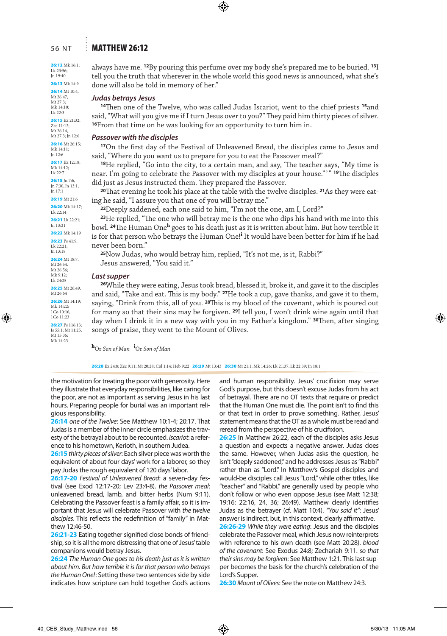#### 56 NT Matthew 26:12

26:12 Mk 16:1; Lk 23:56; Jn 19:40

26:13 Mk 14:9 26:14 Mt 10:4,

Mt 26:47, Mt 27:3; Mk 14:10; Lk 22:3

26:15 Ex 21:32; Zec 11:12; Mt 26:14, Mt 27:3; Jn 12:6

26:16 Mt 26:15; Mk 14:11; Jn 12:6

26:17 Ex 12:18; Mk 14:12; Lk 22:7

26:18 In 7:6, Jn 7:30, Jn 13:1, Jn 17:1

26:19 Mt 21:6

26:20 Mk 14:17; Lk 22:14

26:21 Lk 22:21; Jn 13:21

26:22 Mk 14:19 26:23 Ps 41:9

Lk 22:21; Jn 13:18

26:24 Mt 18:7, Mt 26:54, Mt 26:56; Mk 9:12; Lk 24:25

26:25 Mt 26:49, Mt 26:64

26:26 Mt 14:19; Mk 14:22; 1Co 10:16, 1Co 11:23

26:27 Ps 116:13; Is 55:1; Mt 11:25, Mt 15:36; Mk 14:23

always have me. **<sup>12</sup>**By pouring this perfume over my body she's prepared me to be buried. **<sup>13</sup>**I tell you the truth that wherever in the whole world this good news is announced, what she's done will also be told in memory of her."

#### *Judas betrays Jesus*

**<sup>14</sup>**Then one of the Twelve, who was called Judas Iscariot, went to the chief priests **<sup>15</sup>**and said, "What will you give me if I turn Jesus over to you?" They paid him thirty pieces of silver. **<sup>16</sup>**From that time on he was looking for an opportunity to turn him in.

#### *Passover with the disciples*

**<sup>17</sup>**On the first day of the Festival of Unleavened Bread, the disciples came to Jesus and said, "Where do you want us to prepare for you to eat the Passover meal?"

**<sup>18</sup>**He replied, "Go into the city, to a certain man, and say, 'The teacher says, "My time is near. I'm going to celebrate the Passover with my disciples at your house."'" **<sup>19</sup>**The disciples did just as Jesus instructed them. They prepared the Passover.

**20**That evening he took his place at the table with the twelve disciples. **21**As they were eating he said, "I assure you that one of you will betray me."

**<sup>22</sup>**Deeply saddened, each one said to him, "I'm not the one, am I, Lord?"

**<sup>23</sup>**He replied, "The one who will betray me is the one who dips his hand with me into this bowl. **<sup>24</sup>**The Human One**<sup>h</sup>** goes to his death just as it is written about him. But how terrible it is for that person who betrays the Human One!<sup>i</sup> It would have been better for him if he had never been born."

**<sup>25</sup>**Now Judas, who would betray him, replied, "It's not me, is it, Rabbi?" Jesus answered, "You said it."

#### *Last supper*

**<sup>26</sup>**While they were eating, Jesus took bread, blessed it, broke it, and gave it to the disciples and said, "Take and eat. This is my body." **<sup>27</sup>**He took a cup, gave thanks, and gave it to them, saying, "Drink from this, all of you. **<sup>28</sup>**This is my blood of the covenant, which is poured out for many so that their sins may be forgiven. **<sup>29</sup>**I tell you, I won't drink wine again until that day when I drink it in a new way with you in my Father's kingdom." **<sup>30</sup>**Then, after singing songs of praise, they went to the Mount of Olives.

**<sup>h</sup>**Or *Son of Man* **<sup>i</sup>** Or *Son of Man*

26:28 Ex 24:8; Zec 9:11; Mt 20:28; Col 1:14; Heb 9:22 26:29 Mt 13:43 26:30 Mt 21:1; Mk 14:26; Lk 21:37, Lk 22:39; Jn 18:1

the motivation for treating the poor with generosity. Here they illustrate that everyday responsibilities, like caring for the poor, are not as important as serving Jesus in his last hours. Preparing people for burial was an important religious responsibility.

**26:14** *one of the Twelve*: See Matthew 10:1-4; 20:17. That Judas is a member of the inner circle emphasizes the travesty of the betrayal about to be recounted. *Iscariot*: a reference to his hometown, Kerioth, in southern Judea.

**26:15** *thirty pieces of silver*: Each silver piece was worth the equivalent of about four days' work for a laborer, so they pay Judas the rough equivalent of 120 days' labor.

**26:17-20** *Festival of Unleavened Bread*: a seven-day festival (see Exod 12:17-20; Lev 23:4-8). *the Passover meal*: unleavened bread, lamb, and bitter herbs (Num 9:11). Celebrating the Passover feast is a family affair, so it is important that Jesus will celebrate Passover with *the twelve disciples*. This reflects the redefinition of "family" in Matthew 12:46-50.

**26:21-23** Eating together signified close bonds of friendship, so it is all the more distressing that one of Jesus' table companions would betray Jesus.

**26:24** *The Human One goes to his death just as it is written about him. But how terrible it is for that person who betrays the Human One!*: Setting these two sentences side by side indicates how scripture can hold together God's actions and human responsibility. Jesus' crucifixion may serve God's purpose, but this doesn't excuse Judas from his act of betrayal. There are no OT texts that require or predict that the Human One must die. The point isn't to find this or that text in order to prove something. Rather, Jesus' statement means that the OT as a whole must be read and reread from the perspective of his crucifixion.

**26:25** In Matthew 26:22, each of the disciples asks Jesus a question and expects a negative answer. Judas does the same. However, when Judas asks the question, he isn't "deeply saddened," and he addresses Jesus as "Rabbi" rather than as "Lord." In Matthew's Gospel disciples and would-be disciples call Jesus "Lord," while other titles, like "teacher" and "Rabbi," are generally used by people who don't follow or who even oppose Jesus (see Matt 12:38; 19:16; 22:16, 24, 36; 26:49). Matthew clearly identifies Judas as the betrayer (cf. Matt 10:4). *"You said it"*: Jesus' answer is indirect, but, in this context, clearly affirmative.

**26:26-29** *While they were eating*: Jesus and the disciples celebrate the Passover meal, which Jesus now reinterprets with reference to his own death (see Matt 20:28). *blood of the covenant*: See Exodus 24:8; Zechariah 9:11. *so that their sins may be forgiven*: See Matthew 1:21. This last supper becomes the basis for the church's celebration of the Lord's Supper.

**26:30** *Mount of Olives*: See the note on Matthew 24:3.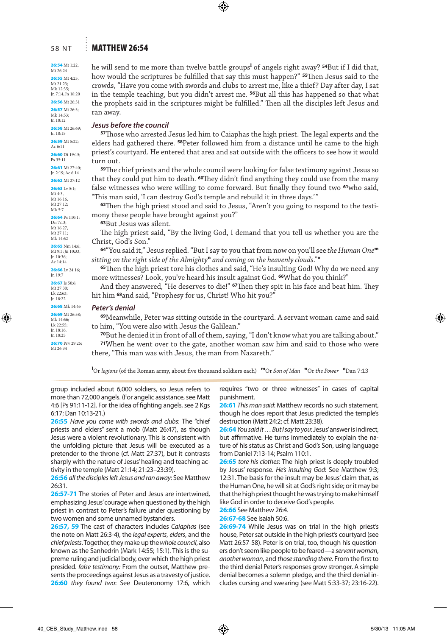### 58 NT : MATTHEW 26:54

26:54 Mt 1:22, Mt 26:24

26:55 Mt 4:23, Mt 21:23; Mk 12:35;

Jn 7:14, Jn 18:20 26:56 Mt 26:31 26:57 Mt 26:3;

Mk 14:53; Jn 18:12 26:58 Mt 26:69; Jn 18:15 26:59 Mt 5:22; Ac 6:11 26:60 Dt 19:15; Ps 35:11

26:61 Mt 27:40; Jn 2:19; Ac 6:14 26:62 Mt 27:12

26:63 Lv 5:1; Mt 4:3, Mt 16:16,

Mt 27:12; Mk 5:7

26:64 Ps 110:1; Dn 7:13; Mt 16:27 Mt 27:11; Mk 14:62

26:65 Nm 14:6; Mt 9:3; Jn 10:33, Jn 10:36; Ac 14:14

26:66 Lv 24:16; Jn 19:7 26:67 Is 50:6; Mt 27:30; Lk 22:63;

Jn 18:22 26:68 Mk 14:65 26:69 Mt 26:58; Mk 14:66; Lk 22:55; Jn 18:16, Jn 18:25

26:70 Prv 29:25; Mt 26:34

he will send to me more than twelve battle groups<sup>1</sup> of angels right away? **54**But if I did that, how would the scriptures be fulfilled that say this must happen?" **<sup>55</sup>**Then Jesus said to the crowds, "Have you come with swords and clubs to arrest me, like a thief? Day after day, I sat in the temple teaching, but you didn't arrest me. **<sup>56</sup>**But all this has happened so that what the prophets said in the scriptures might be fulfilled." Then all the disciples left Jesus and ran away.

#### *Jesus before the council*

**<sup>57</sup>**Those who arrested Jesus led him to Caiaphas the high priest. The legal experts and the elders had gathered there. **<sup>58</sup>**Peter followed him from a distance until he came to the high priest's courtyard. He entered that area and sat outside with the officers to see how it would turn out.

**<sup>59</sup>**The chief priests and the whole council were looking for false testimony against Jesus so that they could put him to death. **<sup>60</sup>**They didn't find anything they could use from the many false witnesses who were willing to come forward. But finally they found two **<sup>61</sup>**who said, "This man said, 'I can destroy God's temple and rebuild it in three days.'"

**62**Then the high priest stood and said to Jesus, "Aren't you going to respond to the testimony these people have brought against you?"

**<sup>63</sup>**But Jesus was silent.

The high priest said, "By the living God, I demand that you tell us whether you are the Christ, God's Son."

**<sup>64</sup>**"You said it," Jesus replied. "But I say to you that from now on you'll see *the Human One***<sup>m</sup>** *sitting on the right side of the Almighty***<sup>n</sup>** *and coming on the heavenly clouds*."**<sup>o</sup>**

**<sup>65</sup>**Then the high priest tore his clothes and said, "He's insulting God! Why do we need any more witnesses? Look, you've heard his insult against God. **<sup>66</sup>**What do you think?"

And they answered, "He deserves to die!" **<sup>67</sup>**Then they spit in his face and beat him. They hit him **<sup>68</sup>**and said, "Prophesy for us, Christ! Who hit you?"

#### *Peter's denial*

**<sup>69</sup>**Meanwhile, Peter was sitting outside in the courtyard. A servant woman came and said to him, "You were also with Jesus the Galilean."

**<sup>70</sup>**But he denied it in front of all of them, saying, "I don't know what you are talking about."

**<sup>71</sup>**When he went over to the gate, another woman saw him and said to those who were there, "This man was with Jesus, the man from Nazareth."

**l** Or *legions* (of the Roman army, about five thousand soldiers each) **m**Or *Son of Man* **<sup>n</sup>**Or *the Power* **<sup>o</sup>** Dan 7:13

group included about 6,000 soldiers, so Jesus refers to more than 72,000 angels. (For angelic assistance, see Matt 4:6 [Ps 91:11-12]. For the idea of fighting angels, see 2 Kgs 6:17; Dan 10:13-21.)

**26:55** *Have you come with swords and clubs*: The "chief priests and elders" sent a mob (Matt 26:47), as though Jesus were a violent revolutionary. This is consistent with the unfolding picture that Jesus will be executed as a pretender to the throne (cf. Matt 27:37), but it contrasts sharply with the nature of Jesus' healing and teaching activity in the temple (Matt 21:14; 21:23–23:39).

**26:56** *all the disciples left Jesus and ran away*: See Matthew 26:31.

**26:57-71** The stories of Peter and Jesus are intertwined, emphasizing Jesus' courage when questioned by the high priest in contrast to Peter's failure under questioning by two women and some unnamed bystanders.

**26:57, 59** The cast of characters includes *Caiaphas* (see the note on Matt 26:3-4), the *legal experts*, *elders*, and the *chief priests*. Together, they make up the *whole council*, also known as the Sanhedrin (Mark 14:55; 15:1). This is the supreme ruling and judicial body, over which the high priest presided. *false testimony:* From the outset, Matthew presents the proceedings against Jesus as a travesty of justice. **26:60** *they found two*: See Deuteronomy 17:6, which requires "two or three witnesses" in cases of capital punishment.

**26:61** *This man said*: Matthew records no such statement, though he does report that Jesus predicted the temple's destruction (Matt 24:2; cf. Matt 23:38).

**26:64** *You said it. . . But I say to you*: Jesus' answer is indirect, but affirmative. He turns immediately to explain the nature of his status as Christ and God's Son, using language from Daniel 7:13-14; Psalm 110:1.

**26:65** *tore his clothes*: The high priest is deeply troubled by Jesus' response. *He's insulting God*: See Matthew 9:3; 12:31. The basis for the insult may be Jesus' claim that, as the Human One, he will sit at God's right side; or it may be that the high priest thought he was trying to make himself like God in order to deceive God's people.

**26:66** See Matthew 26:4.

**26:67-68** See Isaiah 50:6.

26:69-74 While Jesus was on trial in the high priest's house, Peter sat outside in the high priest's courtyard (see Matt 26:57-58). Peter is on trial, too, though his questioners don't seem like people to be feared—a *servant woman*, *another woman*, and *those standing there*. From the first to the third denial Peter's responses grow stronger. A simple denial becomes a solemn pledge, and the third denial includes cursing and swearing (see Matt 5:33-37; 23:16-22).